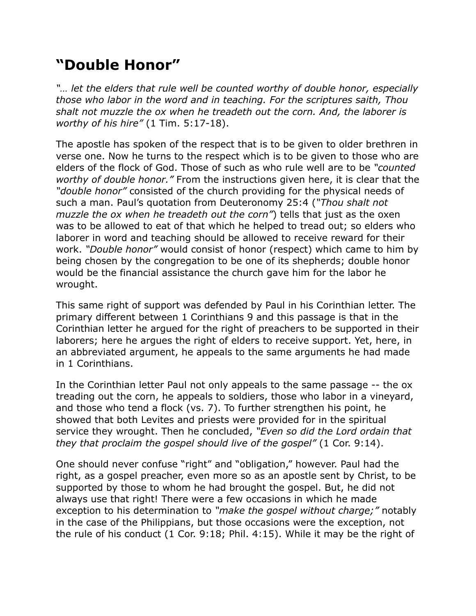## **"Double Honor"**

*"… let the elders that rule well be counted worthy of double honor, especially those who labor in the word and in teaching. For the scriptures saith, Thou shalt not muzzle the ox when he treadeth out the corn. And, the laborer is worthy of his hire"* (1 Tim. 5:17-18).

The apostle has spoken of the respect that is to be given to older brethren in verse one. Now he turns to the respect which is to be given to those who are elders of the flock of God. Those of such as who rule well are to be *"counted worthy of double honor."* From the instructions given here, it is clear that the *"double honor"* consisted of the church providing for the physical needs of such a man. Paul's quotation from Deuteronomy 25:4 (*"Thou shalt not muzzle the ox when he treadeth out the corn"*) tells that just as the oxen was to be allowed to eat of that which he helped to tread out; so elders who laborer in word and teaching should be allowed to receive reward for their work. *"Double honor"* would consist of honor (respect) which came to him by being chosen by the congregation to be one of its shepherds; double honor would be the financial assistance the church gave him for the labor he wrought.

This same right of support was defended by Paul in his Corinthian letter. The primary different between 1 Corinthians 9 and this passage is that in the Corinthian letter he argued for the right of preachers to be supported in their laborers; here he argues the right of elders to receive support. Yet, here, in an abbreviated argument, he appeals to the same arguments he had made in 1 Corinthians.

In the Corinthian letter Paul not only appeals to the same passage -- the ox treading out the corn, he appeals to soldiers, those who labor in a vineyard, and those who tend a flock (vs. 7). To further strengthen his point, he showed that both Levites and priests were provided for in the spiritual service they wrought. Then he concluded, *"Even so did the Lord ordain that they that proclaim the gospel should live of the gospel"* (1 Cor. 9:14).

One should never confuse "right" and "obligation," however. Paul had the right, as a gospel preacher, even more so as an apostle sent by Christ, to be supported by those to whom he had brought the gospel. But, he did not always use that right! There were a few occasions in which he made exception to his determination to *"make the gospel without charge;"* notably in the case of the Philippians, but those occasions were the exception, not the rule of his conduct (1 Cor. 9:18; Phil. 4:15). While it may be the right of